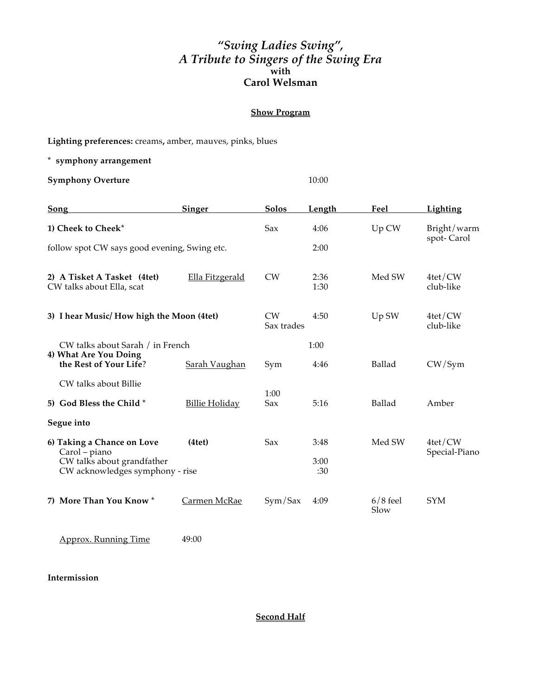## *"Swing Ladies Swing", A Tribute to Singers of the Swing Era* **with Carol Welsman**

## **Show Program**

**Lighting preferences:** creams**,** amber, mauves, pinks, blues

**\* symphony arrangement**

**Symphony Overture** 10:00

| <b>Song</b>                                                                    | <b>Singer</b>         | <u>Solos</u>     | <u>Length</u> | Feel               | <b>Lighting</b>             |
|--------------------------------------------------------------------------------|-----------------------|------------------|---------------|--------------------|-----------------------------|
| 1) Cheek to Cheek*                                                             |                       | Sax              | 4:06          | Up CW              | Bright/warm<br>spot-Carol   |
| follow spot CW says good evening, Swing etc.                                   |                       |                  | 2:00          |                    |                             |
| 2) A Tisket A Tasket (4tet)<br>CW talks about Ella, scat                       | Ella Fitzgerald       | <b>CW</b>        | 2:36<br>1:30  | Med SW             | $4te$ t/CW<br>club-like     |
| 3) I hear Music/How high the Moon (4tet)                                       |                       | CW<br>Sax trades | 4:50          | Up SW              | $4te$ t/CW<br>club-like     |
| CW talks about Sarah / in French                                               |                       |                  | 1:00          |                    |                             |
| 4) What Are You Doing<br>the Rest of Your Life?                                | Sarah Vaughan         | Sym              | 4:46          | <b>Ballad</b>      | CW/Sym                      |
| CW talks about Billie                                                          |                       |                  |               |                    |                             |
| 5) God Bless the Child*                                                        | <b>Billie Holiday</b> | 1:00<br>Sax      | 5:16          | Ballad             | Amber                       |
| Segue into                                                                     |                       |                  |               |                    |                             |
| 6) Taking a Chance on Love                                                     | (4te <sub>t</sub> )   | Sax              | 3:48          | Med SW             | $4te$ t/CW<br>Special-Piano |
| Carol – piano<br>CW talks about grandfather<br>CW acknowledges symphony - rise |                       |                  | 3:00<br>:30   |                    |                             |
| 7) More Than You Know *                                                        | Carmen McRae          | Sym/Sax          | 4:09          | $6/8$ feel<br>Slow | <b>SYM</b>                  |

Approx. Running Time 49:00

**Intermission**

**Second Half**